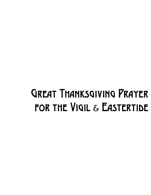# Great Thanksgiving Prayer FOR THE VIGIL & EASTERTIDE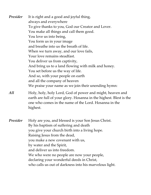*Presider* It is right and a good and joyful thing, always and everywhere To give thanks to you, God our Creator and Lover. You make all things and call them good. You love us into being, You form us in your image and breathe into us the breath of life. When we turn away, and our love fails, Your love remains steadfast. You deliver us from captivity, And bring us to a land flowing with milk and honey. You set before us the way of life. And so, with your people on earth and all the company of heaven We praise your name as we join their unending hymn: *All* Holy, holy, holy Lord, God of power and might, heaven and

earth are full of your glory. Hosanna in the highest. Blest is the one who comes in the name of the Lord. Hosanna in the highest.

*Presider* Holy are you, and blessed is your Son Jesus Christ. By his baptism of suffering and death you give your church birth into a living hope. Raising Jesus from the dead, you make a new covenant with us, by water and the Spirit, and deliver us into freedom. We who were no people are now your people, declaring your wonderful deeds in Christ, who calls us out of darkness into his marvelous light.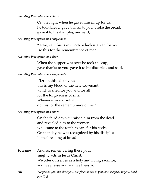#### *Assisting Presbyters on a chord*

On the night when he gave himself up for us, he took bread, gave thanks to you, broke the bread, gave it to his disciples, and said,

#### *Assisting Presbyters on a single note*

"Take, eat: this is my Body which is given for you. Do this for the remembrance of me."

### *Assisting Presbyters on a chord*

When the supper was over he took the cup, gave thanks to you, gave it to his disciples, and said,

# *Assisting Presbyters on a single note*

"Drink this, all of you; this is my blood of the new Covenant, which is shed for you and for all for the forgiveness of sins. Whenever you drink it, do this for the remembrance of me."

# *Assisting Presbyters on a chord*

On the third day you raised him from the dead and revealed him to the women who came to the tomb to care for his body. On that day he was recognized by his disciples in the breaking of bread.

- *Presider* And so, remembering these your mighty acts in Jesus Christ, We offer ourselves as a holy and living sacrifice, and we praise you and we bless you.
- *All We praise you, we bless you, we give thanks to you, and we pray to you, Lord our God.*